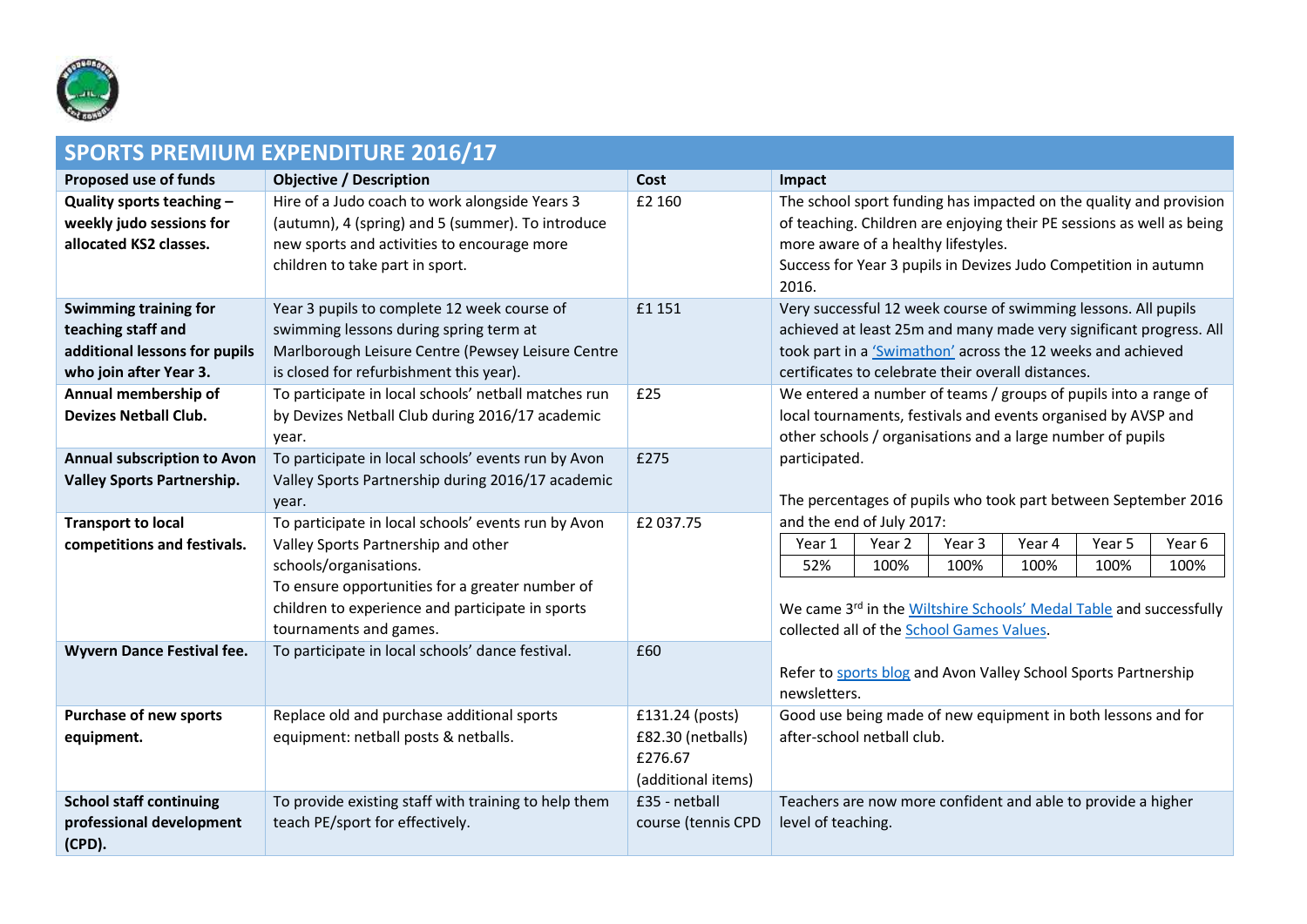

| <b>SPORTS PREMIUM EXPENDITURE 2016/17</b>                                                              |                                                                                                                                                                                                                                                       |                                                                       |                                                                                                                                                                                                                                                                |  |  |
|--------------------------------------------------------------------------------------------------------|-------------------------------------------------------------------------------------------------------------------------------------------------------------------------------------------------------------------------------------------------------|-----------------------------------------------------------------------|----------------------------------------------------------------------------------------------------------------------------------------------------------------------------------------------------------------------------------------------------------------|--|--|
| <b>Proposed use of funds</b>                                                                           | <b>Objective / Description</b>                                                                                                                                                                                                                        | Cost                                                                  | Impact                                                                                                                                                                                                                                                         |  |  |
| Quality sports teaching -<br>weekly judo sessions for<br>allocated KS2 classes.                        | Hire of a Judo coach to work alongside Years 3<br>(autumn), 4 (spring) and 5 (summer). To introduce<br>new sports and activities to encourage more<br>children to take part in sport.                                                                 | £2 160                                                                | The school sport funding has impacted on the quality and provision<br>of teaching. Children are enjoying their PE sessions as well as being<br>more aware of a healthy lifestyles.<br>Success for Year 3 pupils in Devizes Judo Competition in autumn<br>2016. |  |  |
| Swimming training for<br>teaching staff and<br>additional lessons for pupils<br>who join after Year 3. | Year 3 pupils to complete 12 week course of<br>swimming lessons during spring term at<br>Marlborough Leisure Centre (Pewsey Leisure Centre<br>is closed for refurbishment this year).                                                                 | £1 151                                                                | Very successful 12 week course of swimming lessons. All pupils<br>achieved at least 25m and many made very significant progress. All<br>took part in a 'Swimathon' across the 12 weeks and achieved<br>certificates to celebrate their overall distances.      |  |  |
| Annual membership of<br><b>Devizes Netball Club.</b>                                                   | To participate in local schools' netball matches run<br>by Devizes Netball Club during 2016/17 academic<br>year.                                                                                                                                      | £25                                                                   | We entered a number of teams / groups of pupils into a range of<br>local tournaments, festivals and events organised by AVSP and<br>other schools / organisations and a large number of pupils                                                                 |  |  |
| <b>Annual subscription to Avon</b><br><b>Valley Sports Partnership.</b>                                | To participate in local schools' events run by Avon<br>Valley Sports Partnership during 2016/17 academic<br>year.                                                                                                                                     | £275                                                                  | participated.<br>The percentages of pupils who took part between September 2016                                                                                                                                                                                |  |  |
| <b>Transport to local</b><br>competitions and festivals.                                               | To participate in local schools' events run by Avon<br>Valley Sports Partnership and other<br>schools/organisations.<br>To ensure opportunities for a greater number of<br>children to experience and participate in sports<br>tournaments and games. | £2 037.75                                                             | and the end of July 2017:<br>Year 1<br>Year 2<br>Year 3<br>Year 4<br>Year 5<br>Year 6<br>52%<br>100%<br>100%<br>100%<br>100%<br>100%<br>We came 3rd in the Wiltshire Schools' Medal Table and successfully<br>collected all of the School Games Values.        |  |  |
| <b>Wyvern Dance Festival fee.</b>                                                                      | To participate in local schools' dance festival.                                                                                                                                                                                                      | £60                                                                   | Refer to sports blog and Avon Valley School Sports Partnership<br>newsletters.                                                                                                                                                                                 |  |  |
| <b>Purchase of new sports</b><br>equipment.                                                            | Replace old and purchase additional sports<br>equipment: netball posts & netballs.                                                                                                                                                                    | £131.24 (posts)<br>£82.30 (netballs)<br>£276.67<br>(additional items) | Good use being made of new equipment in both lessons and for<br>after-school netball club.                                                                                                                                                                     |  |  |
| <b>School staff continuing</b><br>professional development<br>(CPD).                                   | To provide existing staff with training to help them<br>teach PE/sport for effectively.                                                                                                                                                               | £35 - netball<br>course (tennis CPD                                   | Teachers are now more confident and able to provide a higher<br>level of teaching.                                                                                                                                                                             |  |  |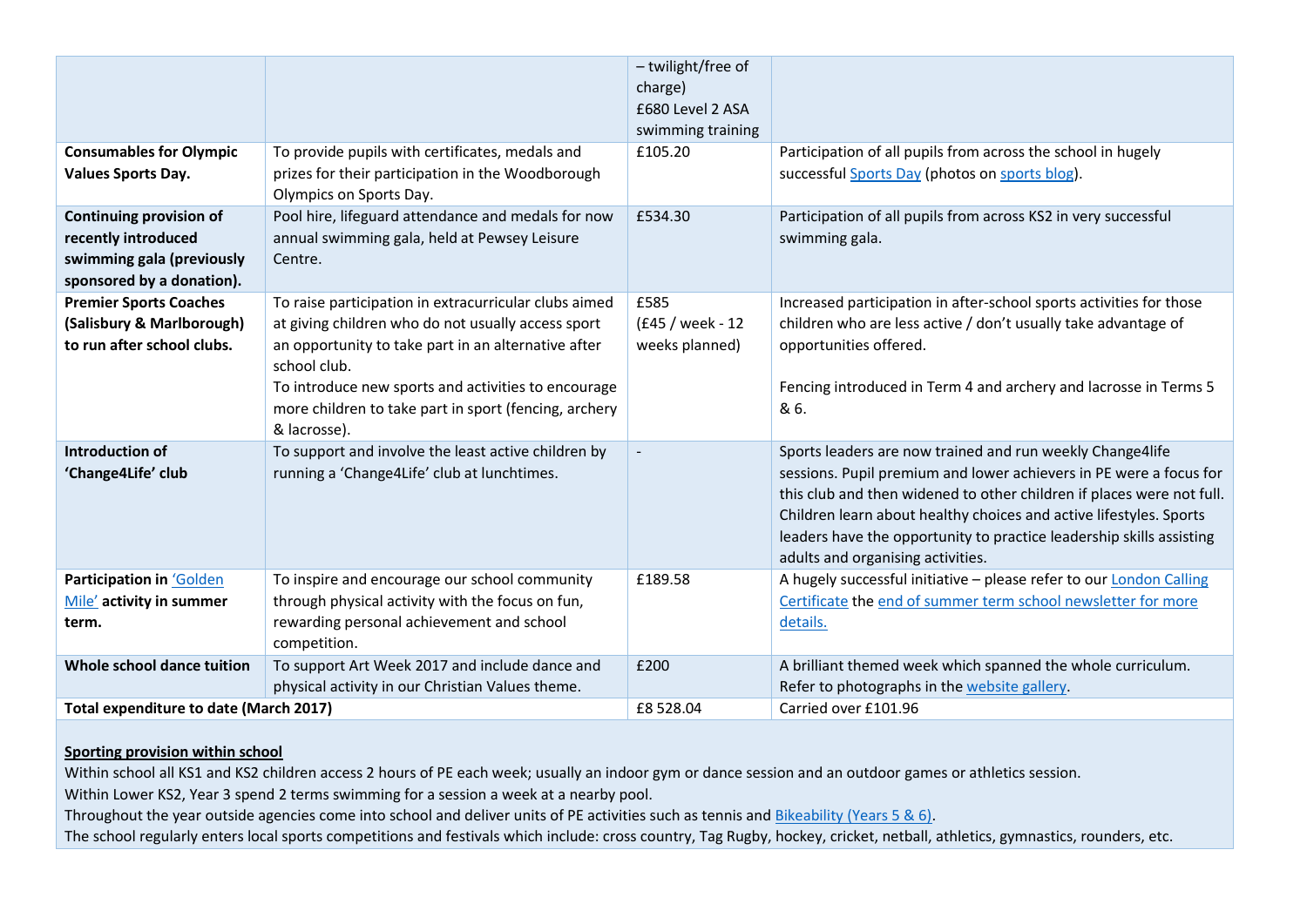|                                                                                                                 |                                                                                                                                                                                                                                                                                                                    | - twilight/free of<br>charge)<br>£680 Level 2 ASA<br>swimming training |                                                                                                                                                                                                                                                                                                                                                                                             |
|-----------------------------------------------------------------------------------------------------------------|--------------------------------------------------------------------------------------------------------------------------------------------------------------------------------------------------------------------------------------------------------------------------------------------------------------------|------------------------------------------------------------------------|---------------------------------------------------------------------------------------------------------------------------------------------------------------------------------------------------------------------------------------------------------------------------------------------------------------------------------------------------------------------------------------------|
| <b>Consumables for Olympic</b><br><b>Values Sports Day.</b>                                                     | To provide pupils with certificates, medals and<br>prizes for their participation in the Woodborough<br>Olympics on Sports Day.                                                                                                                                                                                    | £105.20                                                                | Participation of all pupils from across the school in hugely<br>successful Sports Day (photos on sports blog).                                                                                                                                                                                                                                                                              |
| <b>Continuing provision of</b><br>recently introduced<br>swimming gala (previously<br>sponsored by a donation). | Pool hire, lifeguard attendance and medals for now<br>annual swimming gala, held at Pewsey Leisure<br>Centre.                                                                                                                                                                                                      | £534.30                                                                | Participation of all pupils from across KS2 in very successful<br>swimming gala.                                                                                                                                                                                                                                                                                                            |
| <b>Premier Sports Coaches</b><br>(Salisbury & Marlborough)<br>to run after school clubs.                        | To raise participation in extracurricular clubs aimed<br>at giving children who do not usually access sport<br>an opportunity to take part in an alternative after<br>school club.<br>To introduce new sports and activities to encourage<br>more children to take part in sport (fencing, archery<br>& lacrosse). | £585<br>(£45 / week - 12<br>weeks planned)                             | Increased participation in after-school sports activities for those<br>children who are less active / don't usually take advantage of<br>opportunities offered.<br>Fencing introduced in Term 4 and archery and lacrosse in Terms 5<br>& 6.                                                                                                                                                 |
| <b>Introduction of</b><br>'Change4Life' club                                                                    | To support and involve the least active children by<br>running a 'Change4Life' club at lunchtimes.                                                                                                                                                                                                                 |                                                                        | Sports leaders are now trained and run weekly Change4life<br>sessions. Pupil premium and lower achievers in PE were a focus for<br>this club and then widened to other children if places were not full.<br>Children learn about healthy choices and active lifestyles. Sports<br>leaders have the opportunity to practice leadership skills assisting<br>adults and organising activities. |
| Participation in 'Golden<br>Mile' activity in summer<br>term.                                                   | To inspire and encourage our school community<br>through physical activity with the focus on fun,<br>rewarding personal achievement and school<br>competition.                                                                                                                                                     | £189.58                                                                | A hugely successful initiative - please refer to our London Calling<br>Certificate the end of summer term school newsletter for more<br>details.                                                                                                                                                                                                                                            |
| Whole school dance tuition                                                                                      | To support Art Week 2017 and include dance and<br>physical activity in our Christian Values theme.                                                                                                                                                                                                                 | £200                                                                   | A brilliant themed week which spanned the whole curriculum.<br>Refer to photographs in the website gallery.                                                                                                                                                                                                                                                                                 |
| <b>Total expenditure to date (March 2017)</b>                                                                   |                                                                                                                                                                                                                                                                                                                    | £8 528.04                                                              | Carried over £101.96                                                                                                                                                                                                                                                                                                                                                                        |

## **Sporting provision within school**

Within school all KS1 and KS2 children access 2 hours of PE each week; usually an indoor gym or dance session and an outdoor games or athletics session.

Within Lower KS2, Year 3 spend 2 terms swimming for a session a week at a nearby pool.

Throughout the year outside agencies come into school and deliver units of PE activities such as tennis and Bikeability [\(Years 5 & 6\).](http://bikeability.org.uk/)

The school regularly enters local sports competitions and festivals which include: cross country, Tag Rugby, hockey, cricket, netball, athletics, gymnastics, rounders, etc.